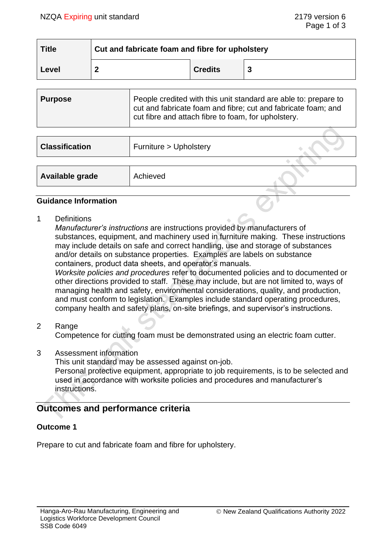| <b>Title</b> | Cut and fabricate foam and fibre for upholstery |                |   |
|--------------|-------------------------------------------------|----------------|---|
| Level        |                                                 | <b>Credits</b> | 3 |

| Purpose | People credited with this unit standard are able to: prepare to<br>cut and fabricate foam and fibre; cut and fabricate foam; and<br>cut fibre and attach fibre to foam, for upholstery. |
|---------|-----------------------------------------------------------------------------------------------------------------------------------------------------------------------------------------|
|         |                                                                                                                                                                                         |

| <b>Classification</b> | Furniture > Upholstery |  |
|-----------------------|------------------------|--|
|                       |                        |  |
| Available grade       | Achieved               |  |
|                       |                        |  |

#### **Guidance Information**

1 Definitions

*Manufacturer's instructions* are instructions provided by manufacturers of substances, equipment, and machinery used in furniture making. These instructions may include details on safe and correct handling, use and storage of substances and/or details on substance properties. Examples are labels on substance containers, product data sheets, and operator's manuals*.*

*Worksite policies and procedures* refer to documented policies and to documented or other directions provided to staff. These may include, but are not limited to, ways of managing health and safety, environmental considerations, quality, and production, and must conform to legislation. Examples include standard operating procedures, company health and safety plans, on-site briefings, and supervisor's instructions.

2 Range

Competence for cutting foam must be demonstrated using an electric foam cutter.

3 Assessment information

This unit standard may be assessed against on-job.

Personal protective equipment, appropriate to job requirements, is to be selected and used in accordance with worksite policies and procedures and manufacturer's instructions.

# **Outcomes and performance criteria**

### **Outcome 1**

Prepare to cut and fabricate foam and fibre for upholstery.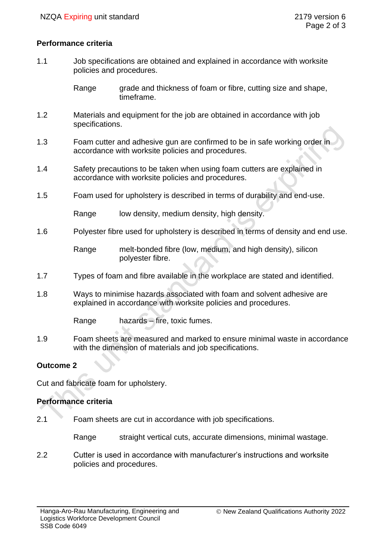### **Performance criteria**

1.1 Job specifications are obtained and explained in accordance with worksite policies and procedures.

> Range grade and thickness of foam or fibre, cutting size and shape, timeframe.

- 1.2 Materials and equipment for the job are obtained in accordance with job specifications.
- 1.3 Foam cutter and adhesive gun are confirmed to be in safe working order in accordance with worksite policies and procedures.
- 1.4 Safety precautions to be taken when using foam cutters are explained in accordance with worksite policies and procedures.
- 1.5 Foam used for upholstery is described in terms of durability and end-use.

Range low density, medium density, high density.

1.6 Polyester fibre used for upholstery is described in terms of density and end use.

Range melt-bonded fibre (low, medium, and high density), silicon polyester fibre.

- 1.7 Types of foam and fibre available in the workplace are stated and identified.
- 1.8 Ways to minimise hazards associated with foam and solvent adhesive are explained in accordance with worksite policies and procedures.

Range hazards – fire, toxic fumes.

1.9 Foam sheets are measured and marked to ensure minimal waste in accordance with the dimension of materials and job specifications.

### **Outcome 2**

Cut and fabricate foam for upholstery.

### **Performance criteria**

2.1 Foam sheets are cut in accordance with job specifications.

Range straight vertical cuts, accurate dimensions, minimal wastage.

2.2 Cutter is used in accordance with manufacturer's instructions and worksite policies and procedures.